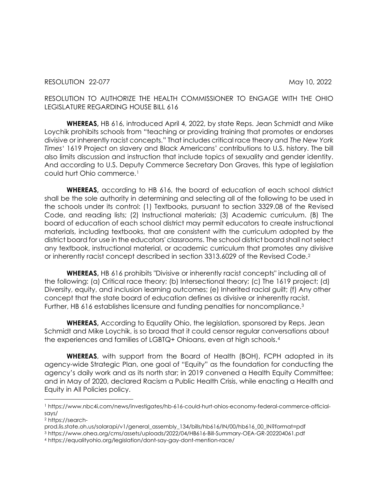RESOLUTION TO AUTHORIZE THE HEALTH COMMISSIONER TO ENGAGE WITH THE OHIO LEGISLATURE REGARDING HOUSE BILL 616

**WHEREAS,** HB 616, introduced April 4, 2022, by state Reps. Jean Schmidt and Mike Loychik prohibits schools from "teaching or providing training that promotes or endorses divisive or inherently racist concepts." That includes critical race theory and *The New York Times*' 1619 Project on slavery and Black Americans' contributions to U.S. history. The bill also limits discussion and instruction that include topics of sexuality and gender identity. And according to U.S. Deputy Commerce Secretary Don Graves, this type of legislation could hurt Ohio commerce.[1](#page-0-0)

**WHEREAS,** according to HB 616, the board of education of each school district shall be the sole authority in determining and selecting all of the following to be used in the schools under its control: (1) Textbooks, pursuant to section 3329.08 of the Revised Code, and reading lists; (2) Instructional materials; (3) Academic curriculum. (B) The board of education of each school district may permit educators to create instructional materials, including textbooks, that are consistent with the curriculum adopted by the district board for use in the educators' classrooms. The school district board shall not select any textbook, instructional material, or academic curriculum that promotes any divisive or inherently racist concept described in section 3313.6029 of the Revised Code.[2](#page-0-1)

**WHEREAS,** HB 616 prohibits "Divisive or inherently racist concepts" including all of the following: (a) Critical race theory; (b) Intersectional theory; (c) The 1619 project; (d) Diversity, equity, and inclusion learning outcomes; (e) Inherited racial guilt; (f) Any other concept that the state board of education defines as divisive or inherently racist. Further, HB 616 establishes licensure and funding penalties for noncompliance.[3](#page-0-2)

**WHEREAS,** According to Equality Ohio, the legislation, sponsored by Reps. Jean Schmidt and Mike Loychik, is so broad that it could censor regular conversations about the experiences and families of LGBTQ+ Ohioans, even at high schools.[4](#page-0-3)

**WHEREAS**, with support from the Board of Health (BOH), FCPH adopted in its agency-wide Strategic Plan, one goal of "Equity" as the foundation for conducting the agency's daily work and as its north star; in 2019 convened a Health Equity Committee; and in May of 2020, declared Racism a Public Health Crisis, while enacting a Health and Equity in All Policies policy.

<span id="page-0-0"></span><sup>1</sup> https://www.nbc4i.com/news/investigates/hb-616-could-hurt-ohios-economy-federal-commerce-officialsays/

<span id="page-0-1"></span><sup>2</sup> https://search-

prod.lis.state.oh.us/solarapi/v1/general\_assembly\_134/bills/hb616/IN/00/hb616\_00\_IN?format=pdf

<span id="page-0-2"></span><sup>3</sup> https://www.ohea.org/cms/assets/uploads/2022/04/HB616-Bill-Summary-OEA-GR-202204061.pdf

<span id="page-0-3"></span><sup>4</sup> https://equalityohio.org/legislation/dont-say-gay-dont-mention-race/